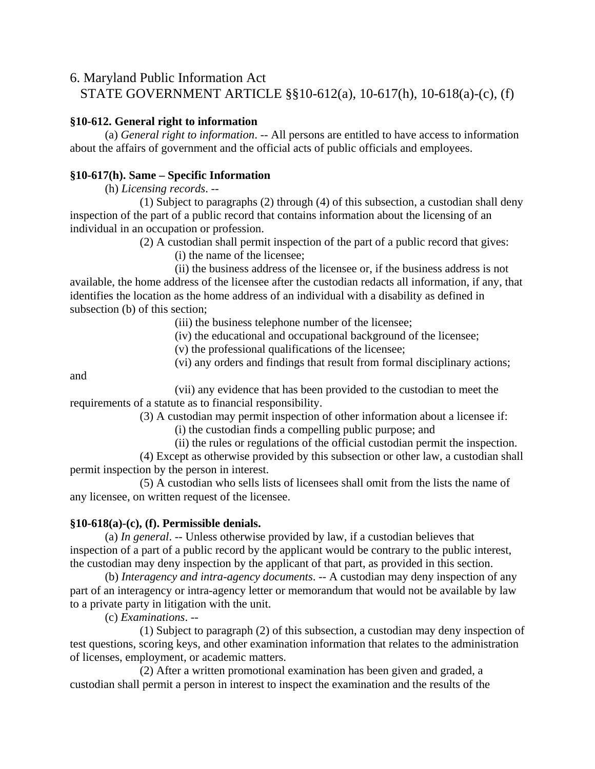## 6. Maryland Public Information Act

STATE GOVERNMENT ARTICLE §§10-612(a), 10-617(h), 10-618(a)-(c), (f)

## **§10-612. General right to information**

 (a) *General right to information*. -- All persons are entitled to have access to information about the affairs of government and the official acts of public officials and employees.

## **§10-617(h). Same – Specific Information**

(h) *Licensing records*. --

 (1) Subject to paragraphs (2) through (4) of this subsection, a custodian shall deny inspection of the part of a public record that contains information about the licensing of an individual in an occupation or profession.

(2) A custodian shall permit inspection of the part of a public record that gives:

(i) the name of the licensee;

 (ii) the business address of the licensee or, if the business address is not available, the home address of the licensee after the custodian redacts all information, if any, that identifies the location as the home address of an individual with a disability as defined in subsection (b) of this section;

(iii) the business telephone number of the licensee;

(iv) the educational and occupational background of the licensee;

(v) the professional qualifications of the licensee;

(vi) any orders and findings that result from formal disciplinary actions;

and

 (vii) any evidence that has been provided to the custodian to meet the requirements of a statute as to financial responsibility.

(3) A custodian may permit inspection of other information about a licensee if:

(i) the custodian finds a compelling public purpose; and

(ii) the rules or regulations of the official custodian permit the inspection.

 (4) Except as otherwise provided by this subsection or other law, a custodian shall permit inspection by the person in interest.

 (5) A custodian who sells lists of licensees shall omit from the lists the name of any licensee, on written request of the licensee.

## **§10-618(a)-(c), (f). Permissible denials.**

 (a) *In general*. -- Unless otherwise provided by law, if a custodian believes that inspection of a part of a public record by the applicant would be contrary to the public interest, the custodian may deny inspection by the applicant of that part, as provided in this section.

 (b) *Interagency and intra-agency documents*. -- A custodian may deny inspection of any part of an interagency or intra-agency letter or memorandum that would not be available by law to a private party in litigation with the unit.

(c) *Examinations*. --

 (1) Subject to paragraph (2) of this subsection, a custodian may deny inspection of test questions, scoring keys, and other examination information that relates to the administration of licenses, employment, or academic matters.

 (2) After a written promotional examination has been given and graded, a custodian shall permit a person in interest to inspect the examination and the results of the